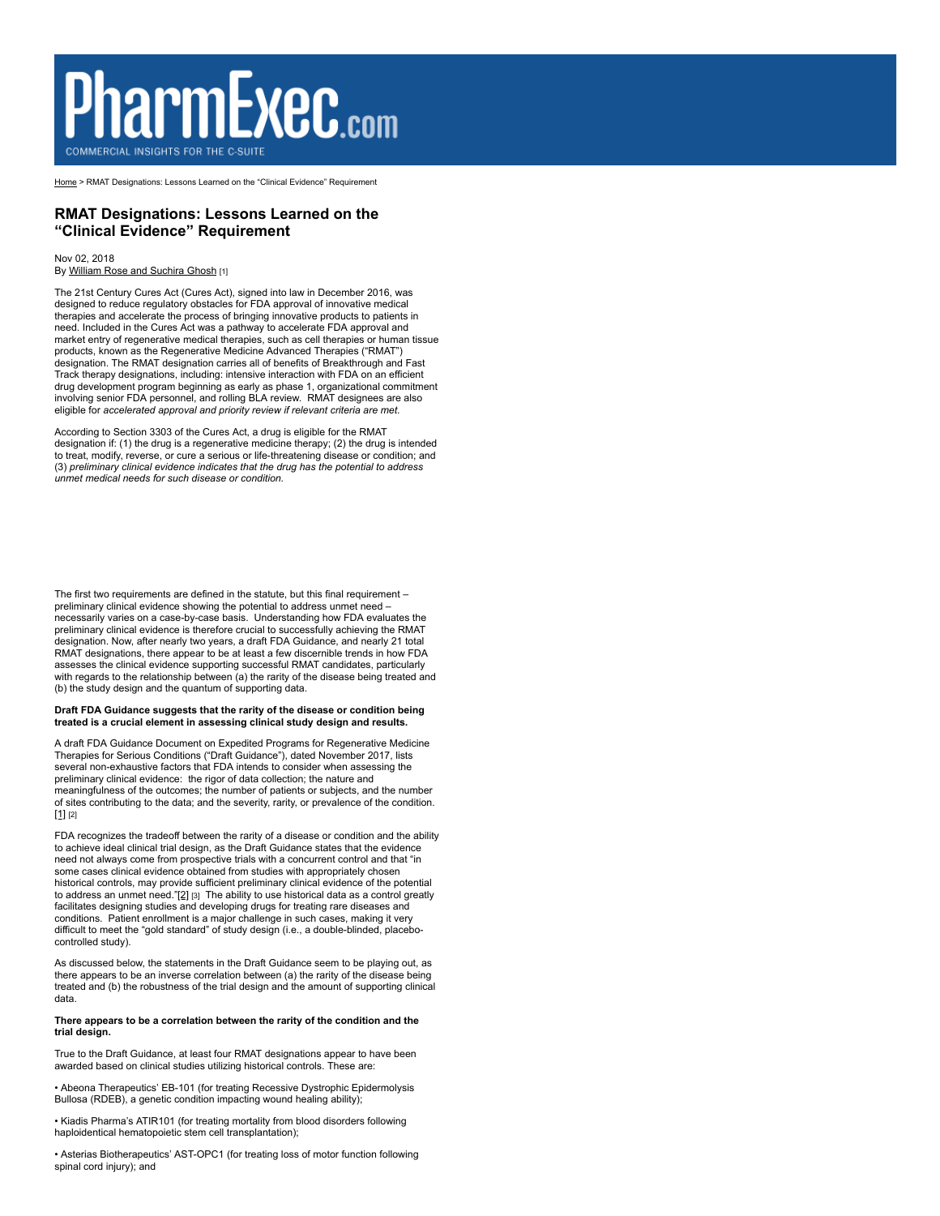# **PharmExec.com**

[Home](http://www.pharmexec.com/) > RMAT Designations: Lessons Learned on the "Clinical Evidence" Requirement

# **RMAT Designations: Lessons Learned on the "Clinical Evidence" Requirement**

#### Nov 02, 2018 By [William Rose and Suchira Ghosh](http://www.pharmexec.com/william-rose-and-suchira-ghosh) [1]

The 21st Century Cures Act (Cures Act), signed into law in December 2016, was designed to reduce regulatory obstacles for FDA approval of innovative medical therapies and accelerate the process of bringing innovative products to patients in need. Included in the Cures Act was a pathway to accelerate FDA approval and market entry of regenerative medical therapies, such as cell therapies or human tissue products, known as the Regenerative Medicine Advanced Therapies ("RMAT") designation. The RMAT designation carries all of benefits of Breakthrough and Fast Track therapy designations, including: intensive interaction with FDA on an efficient drug development program beginning as early as phase 1, organizational commitment involving senior FDA personnel, and rolling BLA review. RMAT designees are also eligible for *accelerated approval and priority review if relevant criteria are met.*

According to Section 3303 of the Cures Act, a drug is eligible for the RMAT designation if: (1) the drug is a regenerative medicine therapy; (2) the drug is intended to treat, modify, reverse, or cure a serious or life-threatening disease or condition; and (3) *preliminary clinical evidence indicates that the drug has the potential to address unmet medical needs for such disease or condition.*

The first two requirements are defined in the statute, but this final requirement – preliminary clinical evidence showing the potential to address unmet need – necessarily varies on a case-by-case basis. Understanding how FDA evaluates the preliminary clinical evidence is therefore crucial to successfully achieving the RMAT designation. Now, after nearly two years, a draft FDA Guidance, and nearly 21 total RMAT designations, there appear to be at least a few discernible trends in how FDA assesses the clinical evidence supporting successful RMAT candidates, particularly with regards to the relationship between (a) the rarity of the disease being treated and (b) the study design and the quantum of supporting data.

# **Draft FDA Guidance suggests that the rarity of the disease or condition being treated is a crucial element in assessing clinical study design and results.**

A draft FDA Guidance Document on Expedited Programs for Regenerative Medicine Therapies for Serious Conditions ("Draft Guidance"), dated November 2017, lists several non-exhaustive factors that FDA intends to consider when assessing the preliminary clinical evidence: the rigor of data collection; the nature and meaningfulness of the outcomes; the number of patients or subjects, and the number of sites contributing to the data; and the severity, rarity, or prevalence of the condition. [\[1\]](applewebdata://86A0ACBD-F5CE-4065-9A23-340DD657C16D#_ftn1) [2]

FDA recognizes the tradeoff between the rarity of a disease or condition and the ability to achieve ideal clinical trial design, as the Draft Guidance states that the evidence need not always come from prospective trials with a concurrent control and that "in some cases clinical evidence obtained from studies with appropriately chosen historical controls, may provide sufficient preliminary clinical evidence of the potential to address an unmet need."[\[2\]](applewebdata://86A0ACBD-F5CE-4065-9A23-340DD657C16D#_ftn2) [3] The ability to use historical data as a control greatly facilitates designing studies and developing drugs for treating rare diseases and conditions. Patient enrollment is a major challenge in such cases, making it very difficult to meet the "gold standard" of study design (i.e., a double-blinded, placebocontrolled study).

As discussed below, the statements in the Draft Guidance seem to be playing out, as there appears to be an inverse correlation between (a) the rarity of the disease being treated and (b) the robustness of the trial design and the amount of supporting clinical data.

## **There appears to be a correlation between the rarity of the condition and the trial design.**

True to the Draft Guidance, at least four RMAT designations appear to have been awarded based on clinical studies utilizing historical controls. These are:

• Abeona Therapeutics' EB-101 (for treating Recessive Dystrophic Epidermolysis Bullosa (RDEB), a genetic condition impacting wound healing ability);

• Kiadis Pharma's ATIR101 (for treating mortality from blood disorders following haploidentical hematopoietic stem cell transplantation);

• Asterias Biotherapeutics' AST-OPC1 (for treating loss of motor function following spinal cord injury); and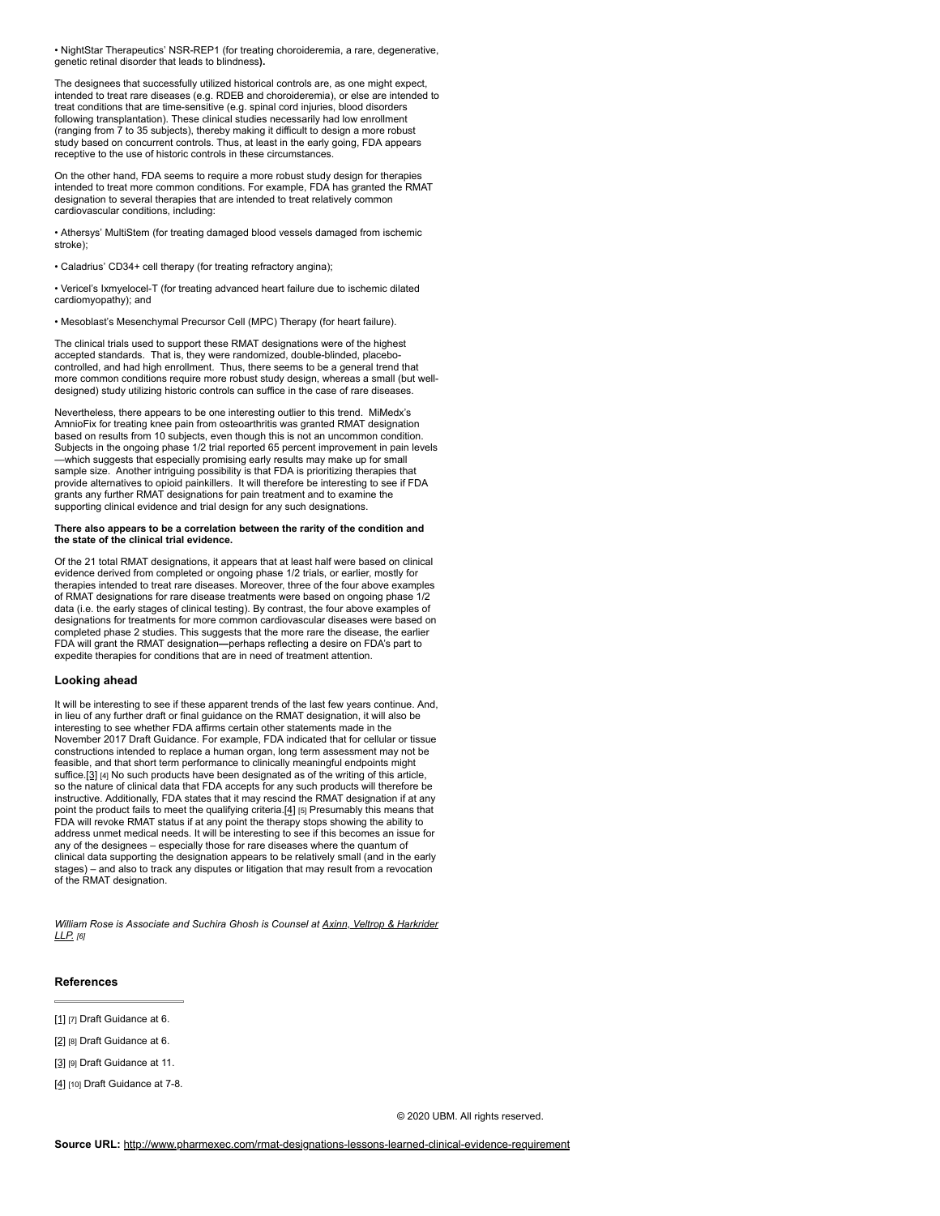• NightStar Therapeutics' NSR-REP1 (for treating choroideremia, a rare, degenerative, genetic retinal disorder that leads to blindness**).**

The designees that successfully utilized historical controls are, as one might expect, intended to treat rare diseases (e.g. RDEB and choroideremia), or else are intended to treat conditions that are time-sensitive (e.g. spinal cord injuries, blood disorders following transplantation). These clinical studies necessarily had low enrollment (ranging from 7 to 35 subjects), thereby making it difficult to design a more robust study based on concurrent controls. Thus, at least in the early going, FDA appears receptive to the use of historic controls in these circumstances.

On the other hand, FDA seems to require a more robust study design for therapies intended to treat more common conditions. For example, FDA has granted the RMAT designation to several therapies that are intended to treat relatively common cardiovascular conditions, including:

• Athersys' MultiStem (for treating damaged blood vessels damaged from ischemic stroke);

• Caladrius' CD34+ cell therapy (for treating refractory angina);

• Vericel's Ixmyelocel-T (for treating advanced heart failure due to ischemic dilated cardiomyopathy); and

• Mesoblast's Mesenchymal Precursor Cell (MPC) Therapy (for heart failure).

The clinical trials used to support these RMAT designations were of the highest accepted standards. That is, they were randomized, double-blinded, placebocontrolled, and had high enrollment. Thus, there seems to be a general trend that more common conditions require more robust study design, whereas a small (but welldesigned) study utilizing historic controls can suffice in the case of rare diseases.

Nevertheless, there appears to be one interesting outlier to this trend. MiMedx's AmnioFix for treating knee pain from osteoarthritis was granted RMAT designation based on results from 10 subjects, even though this is not an uncommon condition. Subjects in the ongoing phase 1/2 trial reported 65 percent improvement in pain levels<br>—which suggests that especially promising early results may make up for small<br>sample size. Another intriguing possibility is that FDA provide alternatives to opioid painkillers. It will therefore be interesting to see if FDA grants any further RMAT designations for pain treatment and to examine the supporting clinical evidence and trial design for any such designations.

#### **There also appears to be a correlation between the rarity of the condition and the state of the clinical trial evidence.**

Of the 21 total RMAT designations, it appears that at least half were based on clinical evidence derived from completed or ongoing phase 1/2 trials, or earlier, mostly for therapies intended to treat rare diseases. Moreover, three of the four above examples of RMAT designations for rare disease treatments were based on ongoing phase 1/2 data (i.e. the early stages of clinical testing). By contrast, the four above examples of designations for treatments for more common cardiovascular diseases were based on completed phase 2 studies. This suggests that the more rare the disease, the earlier FDA will grant the RMAT designation**—**perhaps reflecting a desire on FDA's part to expedite therapies for conditions that are in need of treatment attention.

### **Looking ahead**

It will be interesting to see if these apparent trends of the last few years continue. And, in lieu of any further draft or final guidance on the RMAT designation, it will also be interesting to see whether FDA affirms certain other statements made in the November 2017 Draft Guidance. For example, FDA indicated that for cellular or tissue constructions intended to replace a human organ, long term assessment may not be feasible, and that short term performance to clinically meaningful endpoints might suffice[.\[3\]](applewebdata://86A0ACBD-F5CE-4065-9A23-340DD657C16D#_ftn3) [4] No such products have been designated as of the writing of this article, so the nature of clinical data that FDA accepts for any such products will therefore be instructive. Additionally, FDA states that it may rescind the RMAT designation if at any point the product fails to meet the qualifying criteria[.\[4\]](applewebdata://86A0ACBD-F5CE-4065-9A23-340DD657C16D#_ftn4) [5] Presumably this means that FDA will revoke RMAT status if at any point the therapy stops showing the ability to address unmet medical needs. It will be interesting to see if this becomes an issue for any of the designees – especially those for rare diseases where the quantum of clinical data supporting the designation appears to be relatively small (and in the early stages) – and also to track any disputes or litigation that may result from a revocation of the RMAT designation.

*[William Rose is Associate and Suchira Ghosh is Counsel at Axinn, Veltrop & Harkrider](http://www.axinn.com/) LLP. [6]*

### **References**

[\[1\]](applewebdata://86A0ACBD-F5CE-4065-9A23-340DD657C16D#_ftnref1) [7] Draft Guidance at 6.

[\[2\]](applewebdata://86A0ACBD-F5CE-4065-9A23-340DD657C16D#_ftnref2) [8] Draft Guidance at 6.

[\[3\]](applewebdata://86A0ACBD-F5CE-4065-9A23-340DD657C16D#_ftnref3) r9] Draft Guidance at 11.

[\[4\]](applewebdata://86A0ACBD-F5CE-4065-9A23-340DD657C16D#_ftnref4) [10] Draft Guidance at 7-8.

© 2020 UBM. All rights reserved.